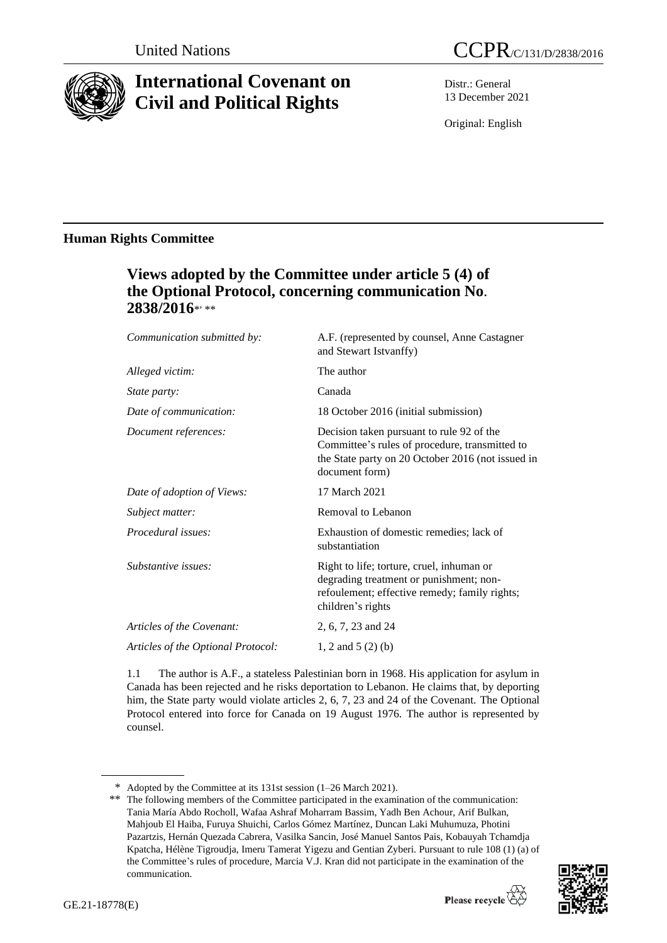

# **International Covenant on Civil and Political Rights**

Distr.: General 13 December 2021

Original: English

# **Human Rights Committee**

# **Views adopted by the Committee under article 5 (4) of the Optional Protocol, concerning communication No.** 2838/2016\*'\*\*

| Communication submitted by:        | A.F. (represented by counsel, Anne Castagner<br>and Stewart Istvanffy)                                                                                             |
|------------------------------------|--------------------------------------------------------------------------------------------------------------------------------------------------------------------|
| Alleged victim:                    | The author                                                                                                                                                         |
| State party:                       | Canada                                                                                                                                                             |
| Date of communication:             | 18 October 2016 (initial submission)                                                                                                                               |
| Document references:               | Decision taken pursuant to rule 92 of the<br>Committee's rules of procedure, transmitted to<br>the State party on 20 October 2016 (not issued in<br>document form) |
| Date of adoption of Views:         | 17 March 2021                                                                                                                                                      |
| Subject matter:                    | Removal to Lebanon                                                                                                                                                 |
| Procedural issues:                 | Exhaustion of domestic remedies; lack of<br>substantiation                                                                                                         |
| Substantive issues:                | Right to life; torture, cruel, inhuman or<br>degrading treatment or punishment; non-<br>refoulement; effective remedy; family rights;<br>children's rights         |
| Articles of the Covenant:          | 2, 6, 7, 23 and 24                                                                                                                                                 |
| Articles of the Optional Protocol: | 1, 2 and 5 $(2)$ (b)                                                                                                                                               |

1.1 The author is A.F., a stateless Palestinian born in 1968. His application for asylum in Canada has been rejected and he risks deportation to Lebanon. He claims that, by deporting him, the State party would violate articles 2, 6, 7, 23 and 24 of the Covenant. The Optional Protocol entered into force for Canada on 19 August 1976. The author is represented by counsel.

<sup>\*\*</sup> The following members of the Committee participated in the examination of the communication: Tania María Abdo Rocholl, Wafaa Ashraf Moharram Bassim, Yadh Ben Achour, Arif Bulkan, Mahjoub El Haiba, Furuya Shuichi, Carlos Gómez Martínez, Duncan Laki Muhumuza, Photini Pazartzis, Hernán Quezada Cabrera, Vasilka Sancin, José Manuel Santos Pais, Kobauyah Tchamdja Kpatcha, Hélène Tigroudja, Imeru Tamerat Yigezu and Gentian Zyberi. Pursuant to rule 108 (1) (a) of the Committee's rules of procedure, Marcia V.J. Kran did not participate in the examination of the communication.



<sup>\*</sup> Adopted by the Committee at its 131st session (1–26 March 2021).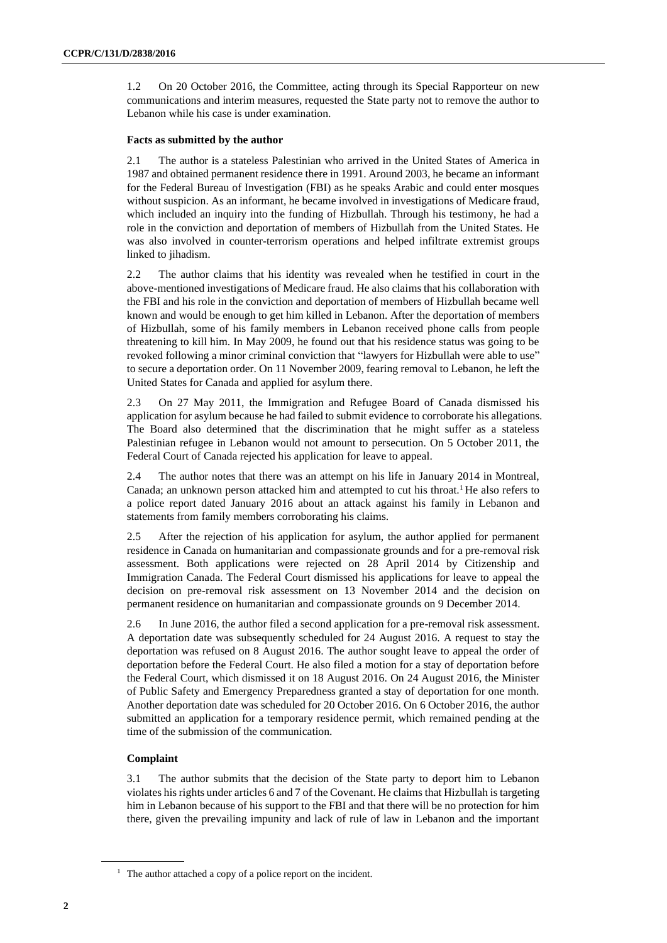1.2 On 20 October 2016, the Committee, acting through its Special Rapporteur on new communications and interim measures, requested the State party not to remove the author to Lebanon while his case is under examination.

### **Facts as submitted by the author**

2.1 The author is a stateless Palestinian who arrived in the United States of America in 1987 and obtained permanent residence there in 1991. Around 2003, he became an informant for the Federal Bureau of Investigation (FBI) as he speaks Arabic and could enter mosques without suspicion. As an informant, he became involved in investigations of Medicare fraud, which included an inquiry into the funding of Hizbullah. Through his testimony, he had a role in the conviction and deportation of members of Hizbullah from the United States. He was also involved in counter-terrorism operations and helped infiltrate extremist groups linked to jihadism.

2.2 The author claims that his identity was revealed when he testified in court in the above-mentioned investigations of Medicare fraud. He also claims that his collaboration with the FBI and his role in the conviction and deportation of members of Hizbullah became well known and would be enough to get him killed in Lebanon. After the deportation of members of Hizbullah, some of his family members in Lebanon received phone calls from people threatening to kill him. In May 2009, he found out that his residence status was going to be revoked following a minor criminal conviction that "lawyers for Hizbullah were able to use" to secure a deportation order. On 11 November 2009, fearing removal to Lebanon, he left the United States for Canada and applied for asylum there.

2.3 On 27 May 2011, the Immigration and Refugee Board of Canada dismissed his application for asylum because he had failed to submit evidence to corroborate his allegations. The Board also determined that the discrimination that he might suffer as a stateless Palestinian refugee in Lebanon would not amount to persecution. On 5 October 2011, the Federal Court of Canada rejected his application for leave to appeal.

2.4 The author notes that there was an attempt on his life in January 2014 in Montreal, Canada; an unknown person attacked him and attempted to cut his throat.<sup>1</sup> He also refers to a police report dated January 2016 about an attack against his family in Lebanon and statements from family members corroborating his claims.

2.5 After the rejection of his application for asylum, the author applied for permanent residence in Canada on humanitarian and compassionate grounds and for a pre-removal risk assessment. Both applications were rejected on 28 April 2014 by Citizenship and Immigration Canada. The Federal Court dismissed his applications for leave to appeal the decision on pre-removal risk assessment on 13 November 2014 and the decision on permanent residence on humanitarian and compassionate grounds on 9 December 2014.

2.6 In June 2016, the author filed a second application for a pre-removal risk assessment. A deportation date was subsequently scheduled for 24 August 2016. A request to stay the deportation was refused on 8 August 2016. The author sought leave to appeal the order of deportation before the Federal Court. He also filed a motion for a stay of deportation before the Federal Court, which dismissed it on 18 August 2016. On 24 August 2016, the Minister of Public Safety and Emergency Preparedness granted a stay of deportation for one month. Another deportation date was scheduled for 20 October 2016. On 6 October 2016, the author submitted an application for a temporary residence permit, which remained pending at the time of the submission of the communication.

# **Complaint**

3.1 The author submits that the decision of the State party to deport him to Lebanon violates his rights under articles 6 and 7 of the Covenant. He claims that Hizbullah is targeting him in Lebanon because of his support to the FBI and that there will be no protection for him there, given the prevailing impunity and lack of rule of law in Lebanon and the important

<sup>&</sup>lt;sup>1</sup> The author attached a copy of a police report on the incident.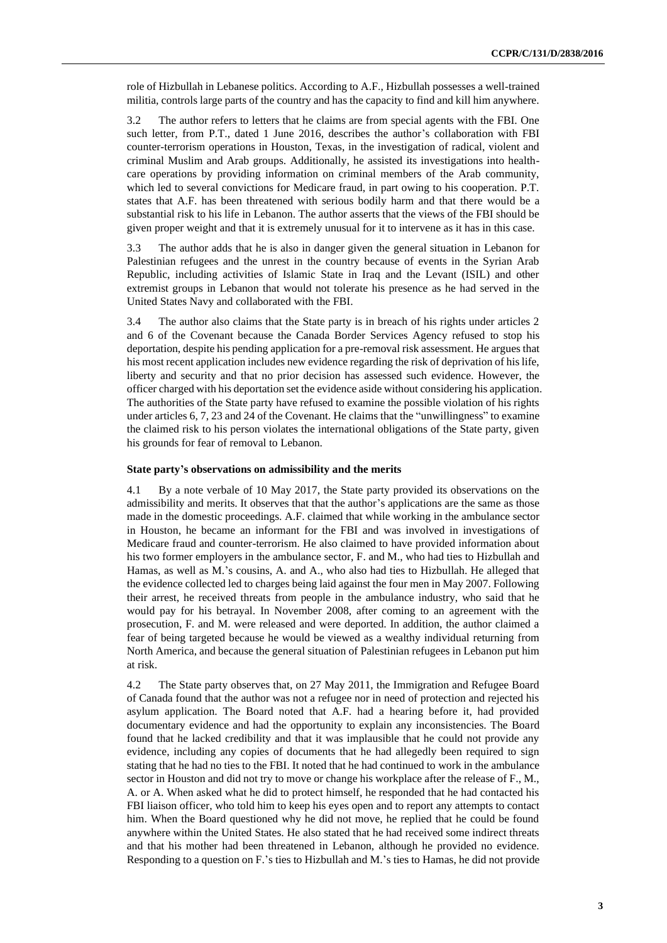role of Hizbullah in Lebanese politics. According to A.F., Hizbullah possesses a well-trained militia, controls large parts of the country and has the capacity to find and kill him anywhere.

3.2 The author refers to letters that he claims are from special agents with the FBI. One such letter, from P.T., dated 1 June 2016, describes the author's collaboration with FBI counter-terrorism operations in Houston, Texas, in the investigation of radical, violent and criminal Muslim and Arab groups. Additionally, he assisted its investigations into healthcare operations by providing information on criminal members of the Arab community, which led to several convictions for Medicare fraud, in part owing to his cooperation. P.T. states that A.F. has been threatened with serious bodily harm and that there would be a substantial risk to his life in Lebanon. The author asserts that the views of the FBI should be given proper weight and that it is extremely unusual for it to intervene as it has in this case.

3.3 The author adds that he is also in danger given the general situation in Lebanon for Palestinian refugees and the unrest in the country because of events in the Syrian Arab Republic, including activities of Islamic State in Iraq and the Levant (ISIL) and other extremist groups in Lebanon that would not tolerate his presence as he had served in the United States Navy and collaborated with the FBI.

3.4 The author also claims that the State party is in breach of his rights under articles 2 and 6 of the Covenant because the Canada Border Services Agency refused to stop his deportation, despite his pending application for a pre-removal risk assessment. He argues that his most recent application includes new evidence regarding the risk of deprivation of his life, liberty and security and that no prior decision has assessed such evidence. However, the officer charged with his deportation set the evidence aside without considering his application. The authorities of the State party have refused to examine the possible violation of his rights under articles 6, 7, 23 and 24 of the Covenant. He claims that the "unwillingness" to examine the claimed risk to his person violates the international obligations of the State party, given his grounds for fear of removal to Lebanon.

## **State party's observations on admissibility and the merits**

4.1 By a note verbale of 10 May 2017, the State party provided its observations on the admissibility and merits. It observes that that the author's applications are the same as those made in the domestic proceedings. A.F. claimed that while working in the ambulance sector in Houston, he became an informant for the FBI and was involved in investigations of Medicare fraud and counter-terrorism. He also claimed to have provided information about his two former employers in the ambulance sector, F. and M., who had ties to Hizbullah and Hamas, as well as M.'s cousins, A. and A., who also had ties to Hizbullah. He alleged that the evidence collected led to charges being laid against the four men in May 2007. Following their arrest, he received threats from people in the ambulance industry, who said that he would pay for his betrayal. In November 2008, after coming to an agreement with the prosecution, F. and M. were released and were deported. In addition, the author claimed a fear of being targeted because he would be viewed as a wealthy individual returning from North America, and because the general situation of Palestinian refugees in Lebanon put him at risk.

4.2 The State party observes that, on 27 May 2011, the Immigration and Refugee Board of Canada found that the author was not a refugee nor in need of protection and rejected his asylum application. The Board noted that A.F. had a hearing before it, had provided documentary evidence and had the opportunity to explain any inconsistencies. The Board found that he lacked credibility and that it was implausible that he could not provide any evidence, including any copies of documents that he had allegedly been required to sign stating that he had no ties to the FBI. It noted that he had continued to work in the ambulance sector in Houston and did not try to move or change his workplace after the release of F., M., A. or A. When asked what he did to protect himself, he responded that he had contacted his FBI liaison officer, who told him to keep his eyes open and to report any attempts to contact him. When the Board questioned why he did not move, he replied that he could be found anywhere within the United States. He also stated that he had received some indirect threats and that his mother had been threatened in Lebanon, although he provided no evidence. Responding to a question on F.'s ties to Hizbullah and M.'s ties to Hamas, he did not provide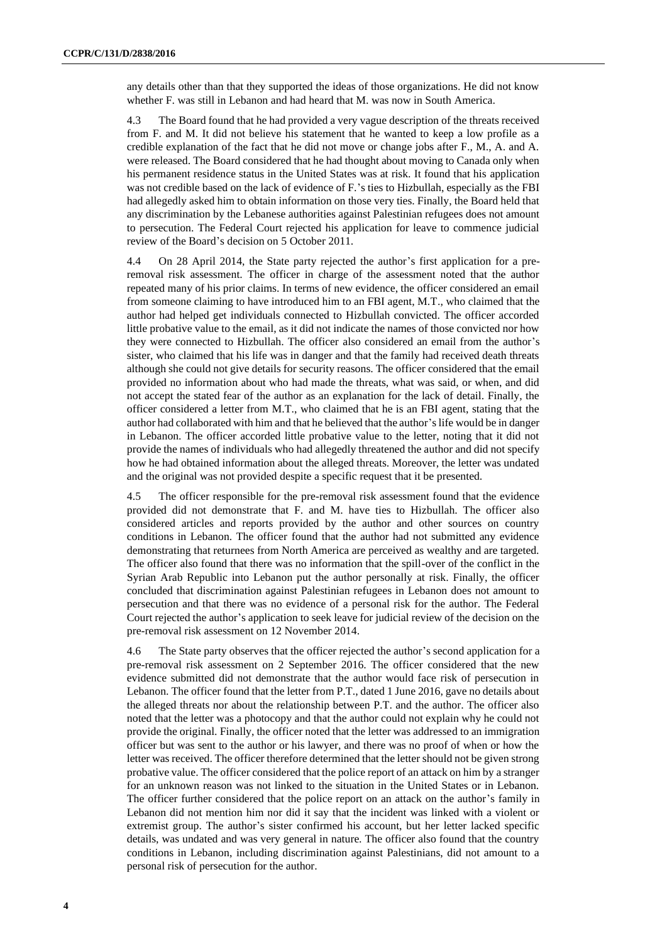any details other than that they supported the ideas of those organizations. He did not know whether F. was still in Lebanon and had heard that M. was now in South America.

4.3 The Board found that he had provided a very vague description of the threats received from F. and M. It did not believe his statement that he wanted to keep a low profile as a credible explanation of the fact that he did not move or change jobs after F., M., A. and A. were released. The Board considered that he had thought about moving to Canada only when his permanent residence status in the United States was at risk. It found that his application was not credible based on the lack of evidence of F.'s ties to Hizbullah, especially as the FBI had allegedly asked him to obtain information on those very ties. Finally, the Board held that any discrimination by the Lebanese authorities against Palestinian refugees does not amount to persecution. The Federal Court rejected his application for leave to commence judicial review of the Board's decision on 5 October 2011.

4.4 On 28 April 2014, the State party rejected the author's first application for a preremoval risk assessment. The officer in charge of the assessment noted that the author repeated many of his prior claims. In terms of new evidence, the officer considered an email from someone claiming to have introduced him to an FBI agent, M.T., who claimed that the author had helped get individuals connected to Hizbullah convicted. The officer accorded little probative value to the email, as it did not indicate the names of those convicted nor how they were connected to Hizbullah. The officer also considered an email from the author's sister, who claimed that his life was in danger and that the family had received death threats although she could not give details for security reasons. The officer considered that the email provided no information about who had made the threats, what was said, or when, and did not accept the stated fear of the author as an explanation for the lack of detail. Finally, the officer considered a letter from M.T., who claimed that he is an FBI agent, stating that the author had collaborated with him and that he believed that the author's life would be in danger in Lebanon. The officer accorded little probative value to the letter, noting that it did not provide the names of individuals who had allegedly threatened the author and did not specify how he had obtained information about the alleged threats. Moreover, the letter was undated and the original was not provided despite a specific request that it be presented.

4.5 The officer responsible for the pre-removal risk assessment found that the evidence provided did not demonstrate that F. and M. have ties to Hizbullah. The officer also considered articles and reports provided by the author and other sources on country conditions in Lebanon. The officer found that the author had not submitted any evidence demonstrating that returnees from North America are perceived as wealthy and are targeted. The officer also found that there was no information that the spill-over of the conflict in the Syrian Arab Republic into Lebanon put the author personally at risk. Finally, the officer concluded that discrimination against Palestinian refugees in Lebanon does not amount to persecution and that there was no evidence of a personal risk for the author. The Federal Court rejected the author's application to seek leave for judicial review of the decision on the pre-removal risk assessment on 12 November 2014.

4.6 The State party observes that the officer rejected the author's second application for a pre-removal risk assessment on 2 September 2016. The officer considered that the new evidence submitted did not demonstrate that the author would face risk of persecution in Lebanon. The officer found that the letter from P.T., dated 1 June 2016, gave no details about the alleged threats nor about the relationship between P.T. and the author. The officer also noted that the letter was a photocopy and that the author could not explain why he could not provide the original. Finally, the officer noted that the letter was addressed to an immigration officer but was sent to the author or his lawyer, and there was no proof of when or how the letter was received. The officer therefore determined that the letter should not be given strong probative value. The officer considered that the police report of an attack on him by a stranger for an unknown reason was not linked to the situation in the United States or in Lebanon. The officer further considered that the police report on an attack on the author's family in Lebanon did not mention him nor did it say that the incident was linked with a violent or extremist group. The author's sister confirmed his account, but her letter lacked specific details, was undated and was very general in nature. The officer also found that the country conditions in Lebanon, including discrimination against Palestinians, did not amount to a personal risk of persecution for the author.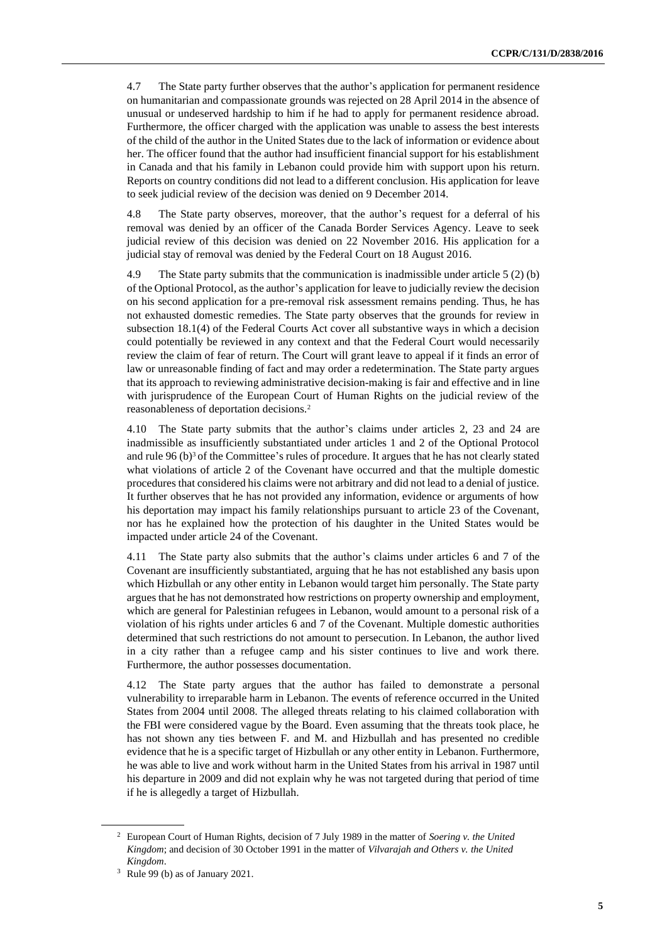4.7 The State party further observes that the author's application for permanent residence on humanitarian and compassionate grounds was rejected on 28 April 2014 in the absence of unusual or undeserved hardship to him if he had to apply for permanent residence abroad. Furthermore, the officer charged with the application was unable to assess the best interests of the child of the author in the United States due to the lack of information or evidence about her. The officer found that the author had insufficient financial support for his establishment in Canada and that his family in Lebanon could provide him with support upon his return. Reports on country conditions did not lead to a different conclusion. His application for leave to seek judicial review of the decision was denied on 9 December 2014.

4.8 The State party observes, moreover, that the author's request for a deferral of his removal was denied by an officer of the Canada Border Services Agency. Leave to seek judicial review of this decision was denied on 22 November 2016. His application for a judicial stay of removal was denied by the Federal Court on 18 August 2016.

4.9 The State party submits that the communication is inadmissible under article 5 (2) (b) of the Optional Protocol, as the author's application for leave to judicially review the decision on his second application for a pre-removal risk assessment remains pending. Thus, he has not exhausted domestic remedies. The State party observes that the grounds for review in subsection 18.1(4) of the Federal Courts Act cover all substantive ways in which a decision could potentially be reviewed in any context and that the Federal Court would necessarily review the claim of fear of return. The Court will grant leave to appeal if it finds an error of law or unreasonable finding of fact and may order a redetermination. The State party argues that its approach to reviewing administrative decision-making is fair and effective and in line with jurisprudence of the European Court of Human Rights on the judicial review of the reasonableness of deportation decisions.<sup>2</sup>

4.10 The State party submits that the author's claims under articles 2, 23 and 24 are inadmissible as insufficiently substantiated under articles 1 and 2 of the Optional Protocol and rule 96 (b)<sup>3</sup> of the Committee's rules of procedure. It argues that he has not clearly stated what violations of article 2 of the Covenant have occurred and that the multiple domestic procedures that considered his claims were not arbitrary and did not lead to a denial of justice. It further observes that he has not provided any information, evidence or arguments of how his deportation may impact his family relationships pursuant to article 23 of the Covenant, nor has he explained how the protection of his daughter in the United States would be impacted under article 24 of the Covenant.

4.11 The State party also submits that the author's claims under articles 6 and 7 of the Covenant are insufficiently substantiated, arguing that he has not established any basis upon which Hizbullah or any other entity in Lebanon would target him personally. The State party argues that he has not demonstrated how restrictions on property ownership and employment, which are general for Palestinian refugees in Lebanon, would amount to a personal risk of a violation of his rights under articles 6 and 7 of the Covenant. Multiple domestic authorities determined that such restrictions do not amount to persecution. In Lebanon, the author lived in a city rather than a refugee camp and his sister continues to live and work there. Furthermore, the author possesses documentation.

4.12 The State party argues that the author has failed to demonstrate a personal vulnerability to irreparable harm in Lebanon. The events of reference occurred in the United States from 2004 until 2008. The alleged threats relating to his claimed collaboration with the FBI were considered vague by the Board. Even assuming that the threats took place, he has not shown any ties between F. and M. and Hizbullah and has presented no credible evidence that he is a specific target of Hizbullah or any other entity in Lebanon. Furthermore, he was able to live and work without harm in the United States from his arrival in 1987 until his departure in 2009 and did not explain why he was not targeted during that period of time if he is allegedly a target of Hizbullah.

<sup>2</sup> European Court of Human Rights, decision of 7 July 1989 in the matter of *Soering v. the United Kingdom*; and decision of 30 October 1991 in the matter of *Vilvarajah and Others v. the United Kingdom*.

<sup>3</sup> Rule 99 (b) as of January 2021.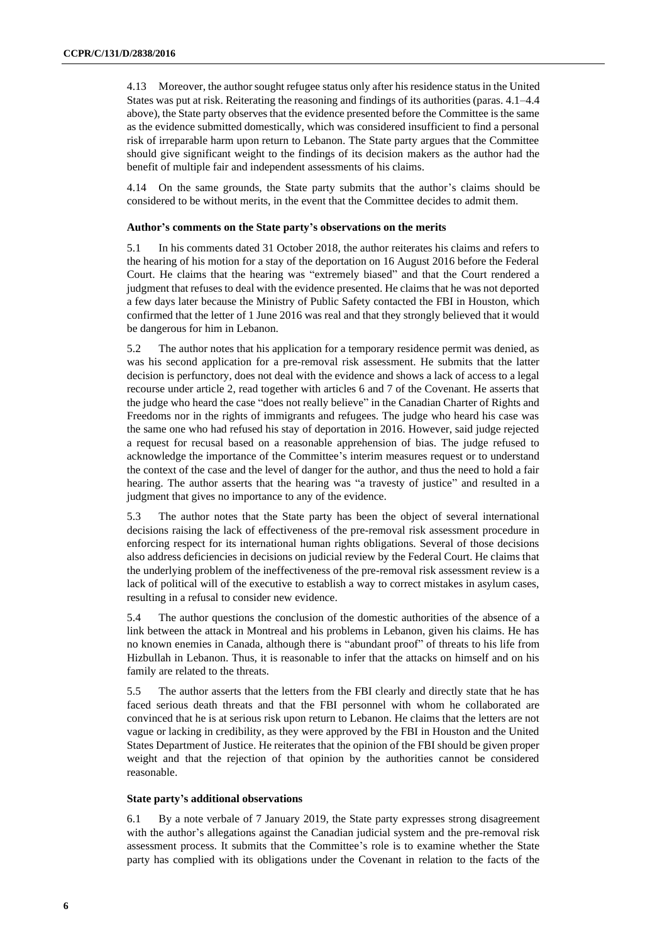4.13 Moreover, the author sought refugee status only after his residence status in the United States was put at risk. Reiterating the reasoning and findings of its authorities (paras. 4.1–4.4 above), the State party observes that the evidence presented before the Committee is the same as the evidence submitted domestically, which was considered insufficient to find a personal risk of irreparable harm upon return to Lebanon. The State party argues that the Committee should give significant weight to the findings of its decision makers as the author had the benefit of multiple fair and independent assessments of his claims.

4.14 On the same grounds, the State party submits that the author's claims should be considered to be without merits, in the event that the Committee decides to admit them.

## **Author's comments on the State party's observations on the merits**

5.1 In his comments dated 31 October 2018, the author reiterates his claims and refers to the hearing of his motion for a stay of the deportation on 16 August 2016 before the Federal Court. He claims that the hearing was "extremely biased" and that the Court rendered a judgment that refuses to deal with the evidence presented. He claims that he was not deported a few days later because the Ministry of Public Safety contacted the FBI in Houston, which confirmed that the letter of 1 June 2016 was real and that they strongly believed that it would be dangerous for him in Lebanon.

5.2 The author notes that his application for a temporary residence permit was denied, as was his second application for a pre-removal risk assessment. He submits that the latter decision is perfunctory, does not deal with the evidence and shows a lack of access to a legal recourse under article 2, read together with articles 6 and 7 of the Covenant. He asserts that the judge who heard the case "does not really believe" in the Canadian Charter of Rights and Freedoms nor in the rights of immigrants and refugees. The judge who heard his case was the same one who had refused his stay of deportation in 2016. However, said judge rejected a request for recusal based on a reasonable apprehension of bias. The judge refused to acknowledge the importance of the Committee's interim measures request or to understand the context of the case and the level of danger for the author, and thus the need to hold a fair hearing. The author asserts that the hearing was "a travesty of justice" and resulted in a judgment that gives no importance to any of the evidence.

5.3 The author notes that the State party has been the object of several international decisions raising the lack of effectiveness of the pre-removal risk assessment procedure in enforcing respect for its international human rights obligations. Several of those decisions also address deficiencies in decisions on judicial review by the Federal Court. He claims that the underlying problem of the ineffectiveness of the pre-removal risk assessment review is a lack of political will of the executive to establish a way to correct mistakes in asylum cases, resulting in a refusal to consider new evidence.

5.4 The author questions the conclusion of the domestic authorities of the absence of a link between the attack in Montreal and his problems in Lebanon, given his claims. He has no known enemies in Canada, although there is "abundant proof" of threats to his life from Hizbullah in Lebanon. Thus, it is reasonable to infer that the attacks on himself and on his family are related to the threats.

5.5 The author asserts that the letters from the FBI clearly and directly state that he has faced serious death threats and that the FBI personnel with whom he collaborated are convinced that he is at serious risk upon return to Lebanon. He claims that the letters are not vague or lacking in credibility, as they were approved by the FBI in Houston and the United States Department of Justice. He reiterates that the opinion of the FBI should be given proper weight and that the rejection of that opinion by the authorities cannot be considered reasonable.

#### **State party's additional observations**

6.1 By a note verbale of 7 January 2019, the State party expresses strong disagreement with the author's allegations against the Canadian judicial system and the pre-removal risk assessment process. It submits that the Committee's role is to examine whether the State party has complied with its obligations under the Covenant in relation to the facts of the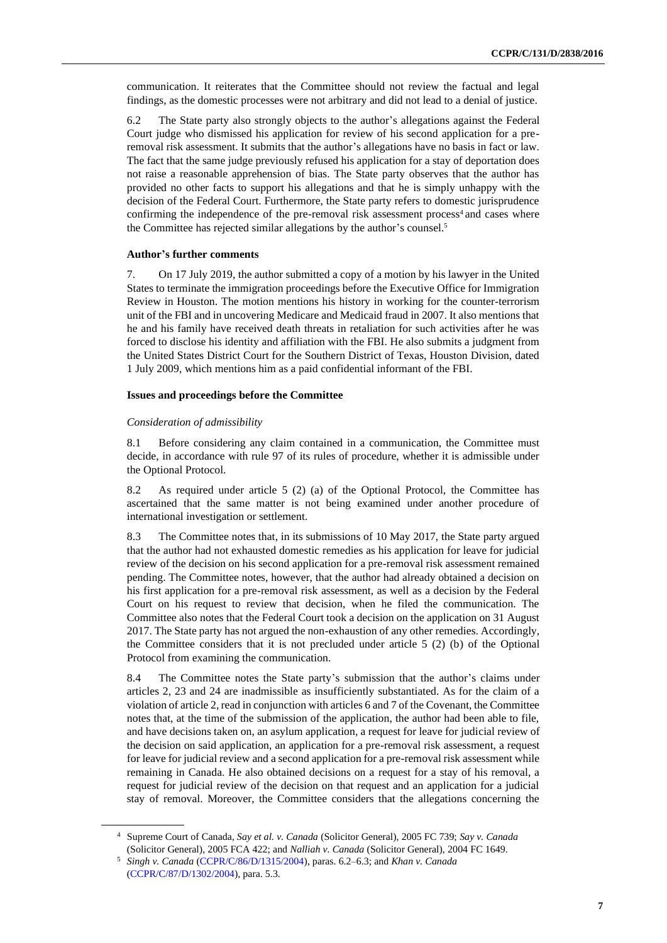communication. It reiterates that the Committee should not review the factual and legal findings, as the domestic processes were not arbitrary and did not lead to a denial of justice.

6.2 The State party also strongly objects to the author's allegations against the Federal Court judge who dismissed his application for review of his second application for a preremoval risk assessment. It submits that the author's allegations have no basis in fact or law. The fact that the same judge previously refused his application for a stay of deportation does not raise a reasonable apprehension of bias. The State party observes that the author has provided no other facts to support his allegations and that he is simply unhappy with the decision of the Federal Court. Furthermore, the State party refers to domestic jurisprudence confirming the independence of the pre-removal risk assessment process<sup>4</sup> and cases where the Committee has rejected similar allegations by the author's counsel.<sup>5</sup>

#### **Author's further comments**

7. On 17 July 2019, the author submitted a copy of a motion by his lawyer in the United States to terminate the immigration proceedings before the Executive Office for Immigration Review in Houston. The motion mentions his history in working for the counter-terrorism unit of the FBI and in uncovering Medicare and Medicaid fraud in 2007. It also mentions that he and his family have received death threats in retaliation for such activities after he was forced to disclose his identity and affiliation with the FBI. He also submits a judgment from the United States District Court for the Southern District of Texas, Houston Division, dated 1 July 2009, which mentions him as a paid confidential informant of the FBI.

#### **Issues and proceedings before the Committee**

#### *Consideration of admissibility*

8.1 Before considering any claim contained in a communication, the Committee must decide, in accordance with rule 97 of its rules of procedure, whether it is admissible under the Optional Protocol.

8.2 As required under article 5 (2) (a) of the Optional Protocol, the Committee has ascertained that the same matter is not being examined under another procedure of international investigation or settlement.

8.3 The Committee notes that, in its submissions of 10 May 2017, the State party argued that the author had not exhausted domestic remedies as his application for leave for judicial review of the decision on his second application for a pre-removal risk assessment remained pending. The Committee notes, however, that the author had already obtained a decision on his first application for a pre-removal risk assessment, as well as a decision by the Federal Court on his request to review that decision, when he filed the communication. The Committee also notes that the Federal Court took a decision on the application on 31 August 2017. The State party has not argued the non-exhaustion of any other remedies. Accordingly, the Committee considers that it is not precluded under article  $5(2)$  (b) of the Optional Protocol from examining the communication.

8.4 The Committee notes the State party's submission that the author's claims under articles 2, 23 and 24 are inadmissible as insufficiently substantiated. As for the claim of a violation of article 2, read in conjunction with articles 6 and 7 of the Covenant, the Committee notes that, at the time of the submission of the application, the author had been able to file, and have decisions taken on, an asylum application, a request for leave for judicial review of the decision on said application, an application for a pre-removal risk assessment, a request for leave for judicial review and a second application for a pre-removal risk assessment while remaining in Canada. He also obtained decisions on a request for a stay of his removal, a request for judicial review of the decision on that request and an application for a judicial stay of removal. Moreover, the Committee considers that the allegations concerning the

<sup>4</sup> Supreme Court of Canada, *Say et al. v. Canada* (Solicitor General), 2005 FC 739; *Say v. Canada* (Solicitor General), 2005 FCA 422; and *Nalliah v. Canada* (Solicitor General), 2004 FC 1649.

<sup>5</sup> *Singh v. Canada* [\(CCPR/C/86/D/1315/2004\)](http://undocs.org/en/CCPR/C/86/D/1315/2004), paras. 6.2–6.3; and *Khan v. Canada* [\(CCPR/C/87/D/1302/2004\)](http://undocs.org/en/CCPR/C/87/D/1302/2004), para. 5.3.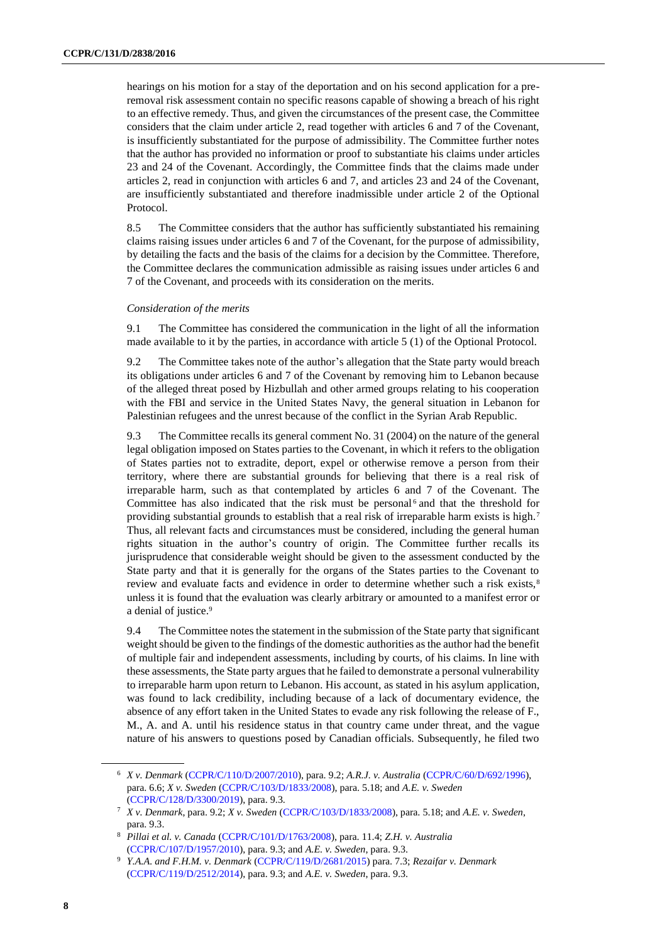hearings on his motion for a stay of the deportation and on his second application for a preremoval risk assessment contain no specific reasons capable of showing a breach of his right to an effective remedy. Thus, and given the circumstances of the present case, the Committee considers that the claim under article 2, read together with articles 6 and 7 of the Covenant, is insufficiently substantiated for the purpose of admissibility. The Committee further notes that the author has provided no information or proof to substantiate his claims under articles 23 and 24 of the Covenant. Accordingly, the Committee finds that the claims made under articles 2, read in conjunction with articles 6 and 7, and articles 23 and 24 of the Covenant, are insufficiently substantiated and therefore inadmissible under article 2 of the Optional Protocol.

8.5 The Committee considers that the author has sufficiently substantiated his remaining claims raising issues under articles 6 and 7 of the Covenant, for the purpose of admissibility, by detailing the facts and the basis of the claims for a decision by the Committee. Therefore, the Committee declares the communication admissible as raising issues under articles 6 and 7 of the Covenant, and proceeds with its consideration on the merits.

#### *Consideration of the merits*

9.1 The Committee has considered the communication in the light of all the information made available to it by the parties, in accordance with article 5 (1) of the Optional Protocol.

9.2 The Committee takes note of the author's allegation that the State party would breach its obligations under articles 6 and 7 of the Covenant by removing him to Lebanon because of the alleged threat posed by Hizbullah and other armed groups relating to his cooperation with the FBI and service in the United States Navy, the general situation in Lebanon for Palestinian refugees and the unrest because of the conflict in the Syrian Arab Republic.

9.3 The Committee recalls its general comment No. 31 (2004) on the nature of the general legal obligation imposed on States parties to the Covenant, in which it refers to the obligation of States parties not to extradite, deport, expel or otherwise remove a person from their territory, where there are substantial grounds for believing that there is a real risk of irreparable harm, such as that contemplated by articles 6 and 7 of the Covenant. The Committee has also indicated that the risk must be personal  $6$  and that the threshold for providing substantial grounds to establish that a real risk of irreparable harm exists is high.<sup>7</sup> Thus, all relevant facts and circumstances must be considered, including the general human rights situation in the author's country of origin. The Committee further recalls its jurisprudence that considerable weight should be given to the assessment conducted by the State party and that it is generally for the organs of the States parties to the Covenant to review and evaluate facts and evidence in order to determine whether such a risk exists,<sup>8</sup> unless it is found that the evaluation was clearly arbitrary or amounted to a manifest error or a denial of justice.<sup>9</sup>

9.4 The Committee notes the statement in the submission of the State party that significant weight should be given to the findings of the domestic authorities as the author had the benefit of multiple fair and independent assessments, including by courts, of his claims. In line with these assessments, the State party argues that he failed to demonstrate a personal vulnerability to irreparable harm upon return to Lebanon. His account, as stated in his asylum application, was found to lack credibility, including because of a lack of documentary evidence, the absence of any effort taken in the United States to evade any risk following the release of F., M., A. and A. until his residence status in that country came under threat, and the vague nature of his answers to questions posed by Canadian officials. Subsequently, he filed two

<sup>6</sup> *X v. Denmark* [\(CCPR/C/110/D/2007/2010\)](http://undocs.org/en/CCPR/C/110/D/2007/2010), para. 9.2; *A.R.J. v. Australia* [\(CCPR/C/60/D/692/1996\)](http://undocs.org/en/CCPR/C/60/D/692/1996), para. 6.6; *X v. Sweden* [\(CCPR/C/103/D/1833/2008\)](http://undocs.org/en/CCPR/C/103/D/1833/2008), para. 5.18; and *A.E. v. Sweden* [\(CCPR/C/128/D/3300/2019\)](http://undocs.org/en/CCPR/C/128/D/3300/2019), para. 9.3.

<sup>7</sup> *X v. Denmark*, para. 9.2; *X v. Sweden* [\(CCPR/C/103/D/1833/2008\)](http://undocs.org/en/CCPR/C/103/D/1833/2008), para. 5.18; and *A.E. v. Sweden*, para. 9.3.

<sup>8</sup> *Pillai et al. v. Canada* [\(CCPR/C/101/D/1763/2008\)](http://undocs.org/en/CCPR/C/101/D/1763/2008), para. 11.4; *Z.H. v. Australia* [\(CCPR/C/107/D/1957/2010\)](http://undocs.org/en/CCPR/C/107/D/1957/2010), para. 9.3; and *A.E. v. Sweden*, para. 9.3.

<sup>9</sup> *Y.A.A. and F.H.M. v. Denmark* [\(CCPR/C/119/D/2681/2015\)](http://undocs.org/en/CCPR/C/119/D/2681/2015) para. 7.3; *Rezaifar v. Denmark* [\(CCPR/C/119/D/2512/2014\)](http://undocs.org/en/CCPR/C/119/D/2512/2014), para. 9.3; and *A.E. v. Sweden*, para. 9.3.